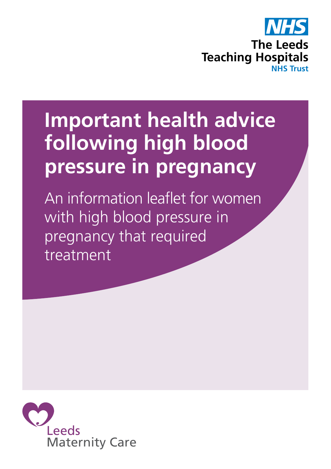

# **Important health advice following high blood pressure in pregnancy**

An information leaflet for women with high blood pressure in pregnancy that required treatment

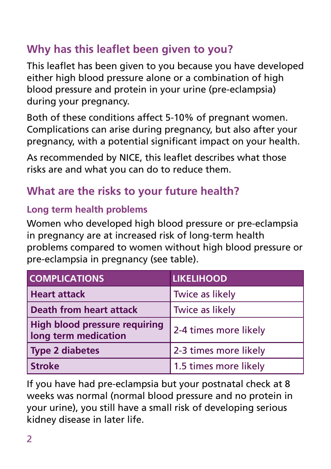# **Why has this leaflet been given to you?**

This leaflet has been given to you because you have developed either high blood pressure alone or a combination of high blood pressure and protein in your urine (pre-eclampsia) during your pregnancy.

Both of these conditions affect 5-10% of pregnant women. Complications can arise during pregnancy, but also after your pregnancy, with a potential significant impact on your health.

As recommended by NICE, this leaflet describes what those risks are and what you can do to reduce them.

# **What are the risks to your future health?**

## **Long term health problems**

Women who developed high blood pressure or pre-eclampsia in pregnancy are at increased risk of long-term health problems compared to women without high blood pressure or pre-eclampsia in pregnancy (see table).

| <b>COMPLICATIONS</b>                                         | <b>LIKELIHOOD</b>      |
|--------------------------------------------------------------|------------------------|
| <b>Heart attack</b>                                          | <b>Twice as likely</b> |
| Death from heart attack                                      | Twice as likely        |
| <b>High blood pressure requiring</b><br>long term medication | 2-4 times more likely  |
| <b>Type 2 diabetes</b>                                       | 2-3 times more likely  |
| <b>Stroke</b>                                                | 1.5 times more likely  |

If you have had pre-eclampsia but your postnatal check at 8 weeks was normal (normal blood pressure and no protein in your urine), you still have a small risk of developing serious kidney disease in later life.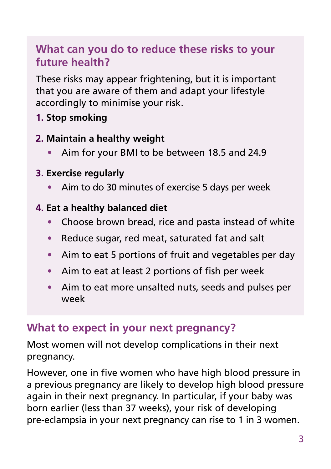## **What can you do to reduce these risks to your future health?**

These risks may appear frightening, but it is important that you are aware of them and adapt your lifestyle accordingly to minimise your risk.

**1. Stop smoking**

#### **2. Maintain a healthy weight**

- **•** Aim for your BMI to be between 18.5 and 24.9
- **3. Exercise regularly**
	- **•** Aim to do 30 minutes of exercise 5 days per week

#### **4. Eat a healthy balanced diet**

- **•** Choose brown bread, rice and pasta instead of white
- **•** Reduce sugar, red meat, saturated fat and salt
- **•** Aim to eat 5 portions of fruit and vegetables per day
- **•** Aim to eat at least 2 portions of fish per week
- **•** Aim to eat more unsalted nuts, seeds and pulses per week

### **What to expect in your next pregnancy?**

Most women will not develop complications in their next pregnancy.

However, one in five women who have high blood pressure in a previous pregnancy are likely to develop high blood pressure again in their next pregnancy. In particular, if your baby was born earlier (less than 37 weeks), your risk of developing pre-eclampsia in your next pregnancy can rise to 1 in 3 women.